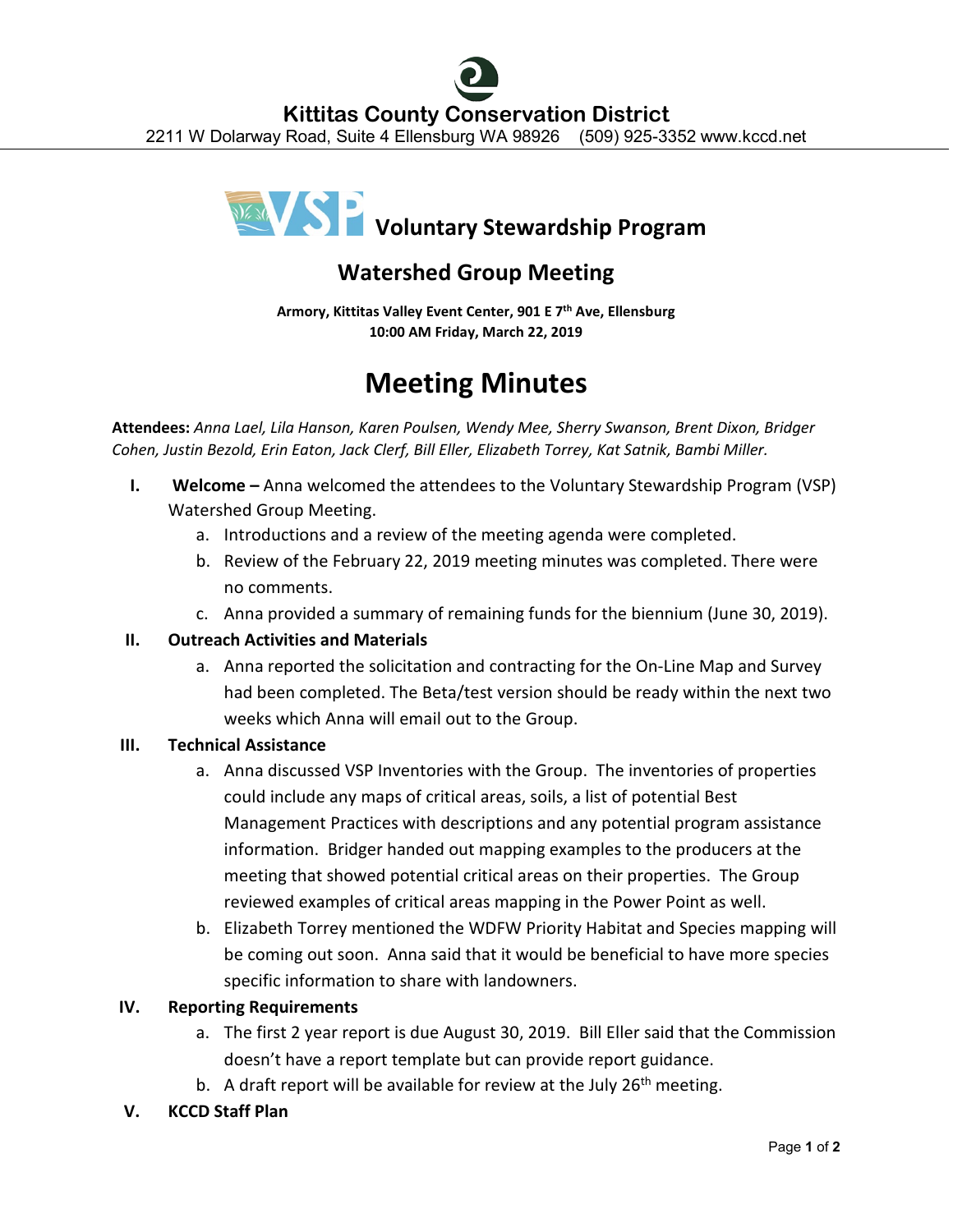

# **Watershed Group Meeting**

**Armory, Kittitas Valley Event Center, 901 E 7th Ave, Ellensburg 10:00 AM Friday, March 22, 2019**

# **Meeting Minutes**

**Attendees:** *Anna Lael, Lila Hanson, Karen Poulsen, Wendy Mee, Sherry Swanson, Brent Dixon, Bridger Cohen, Justin Bezold, Erin Eaton, Jack Clerf, Bill Eller, Elizabeth Torrey, Kat Satnik, Bambi Miller.*

- **I. Welcome** Anna welcomed the attendees to the Voluntary Stewardship Program (VSP) Watershed Group Meeting.
	- a. Introductions and a review of the meeting agenda were completed.
	- b. Review of the February 22, 2019 meeting minutes was completed. There were no comments.
	- c. Anna provided a summary of remaining funds for the biennium (June 30, 2019).

## **II. Outreach Activities and Materials**

a. Anna reported the solicitation and contracting for the On-Line Map and Survey had been completed. The Beta/test version should be ready within the next two weeks which Anna will email out to the Group.

## **III. Technical Assistance**

- a. Anna discussed VSP Inventories with the Group. The inventories of properties could include any maps of critical areas, soils, a list of potential Best Management Practices with descriptions and any potential program assistance information. Bridger handed out mapping examples to the producers at the meeting that showed potential critical areas on their properties. The Group reviewed examples of critical areas mapping in the Power Point as well.
- b. Elizabeth Torrey mentioned the WDFW Priority Habitat and Species mapping will be coming out soon. Anna said that it would be beneficial to have more species specific information to share with landowners.

# **IV. Reporting Requirements**

- a. The first 2 year report is due August 30, 2019. Bill Eller said that the Commission doesn't have a report template but can provide report guidance.
- b. A draft report will be available for review at the July  $26<sup>th</sup>$  meeting.
- **V. KCCD Staff Plan**